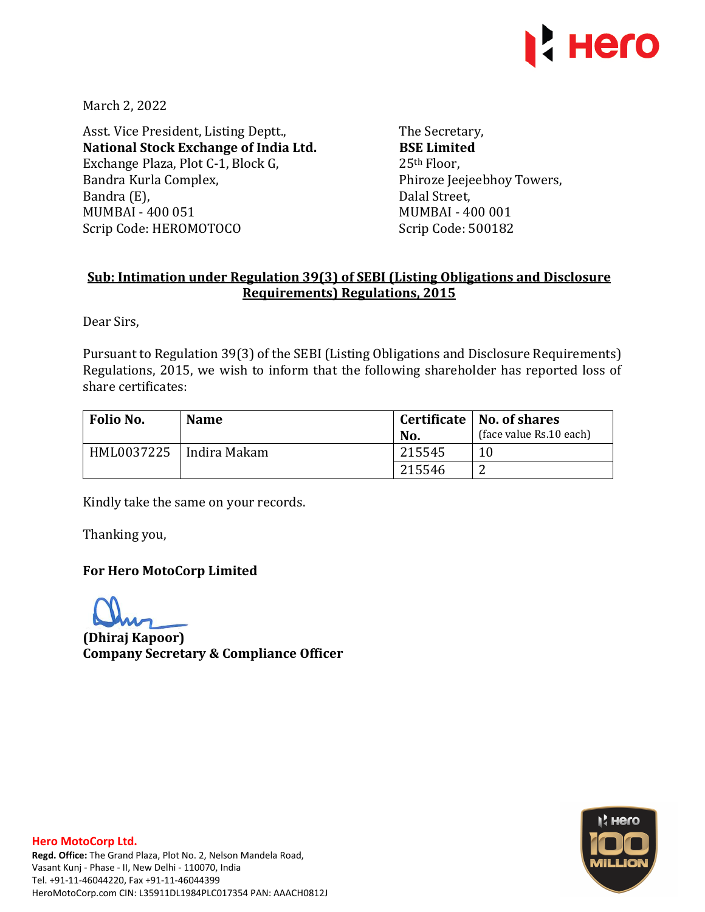

March 2, 2022

Asst. Vice President, Listing Deptt., **National Stock Exchange of India Ltd.**  Exchange Plaza, Plot C-1, Block G, Bandra Kurla Complex, Bandra (E), MUMBAI - 400 051 Scrip Code: HEROMOTOCO

The Secretary, **BSE Limited**  25th Floor, Phiroze Jeejeebhoy Towers, Dalal Street, MUMBAI - 400 001 Scrip Code: 500182

# **Sub: Intimation under Regulation 39(3) of SEBI (Listing Obligations and Disclosure Requirements) Regulations, 2015**

Dear Sirs,

Pursuant to Regulation 39(3) of the SEBI (Listing Obligations and Disclosure Requirements) Regulations, 2015, we wish to inform that the following shareholder has reported loss of share certificates:

| Folio No.                 | <b>Name</b> |        | Certificate   No. of shares |  |
|---------------------------|-------------|--------|-----------------------------|--|
|                           |             | No.    | (face value Rs.10 each)     |  |
| HML0037225   Indira Makam |             | 215545 | 10                          |  |
|                           |             | 215546 |                             |  |

Kindly take the same on your records.

Thanking you,

### **For Hero MotoCorp Limited**

**(Dhiraj Kapoor) Company Secretary & Compliance Officer**